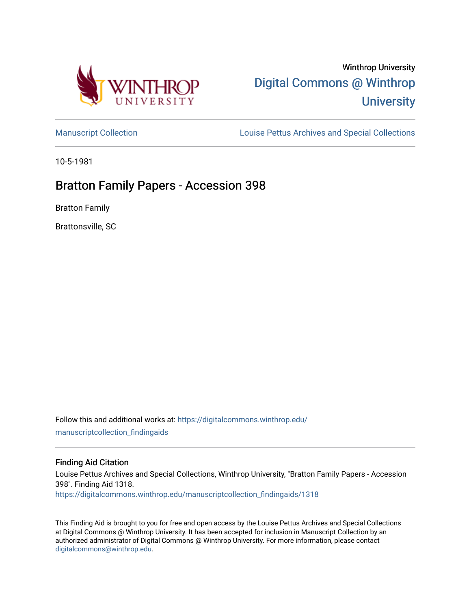

# Winthrop University [Digital Commons @ Winthrop](https://digitalcommons.winthrop.edu/)  **University**

[Manuscript Collection](https://digitalcommons.winthrop.edu/manuscriptcollection_findingaids) **Louise Pettus Archives and Special Collections** 

10-5-1981

# Bratton Family Papers - Accession 398

Bratton Family

Brattonsville, SC

Follow this and additional works at: [https://digitalcommons.winthrop.edu/](https://digitalcommons.winthrop.edu/manuscriptcollection_findingaids?utm_source=digitalcommons.winthrop.edu%2Fmanuscriptcollection_findingaids%2F1318&utm_medium=PDF&utm_campaign=PDFCoverPages) [manuscriptcollection\\_findingaids](https://digitalcommons.winthrop.edu/manuscriptcollection_findingaids?utm_source=digitalcommons.winthrop.edu%2Fmanuscriptcollection_findingaids%2F1318&utm_medium=PDF&utm_campaign=PDFCoverPages) 

#### Finding Aid Citation

Louise Pettus Archives and Special Collections, Winthrop University, "Bratton Family Papers - Accession 398". Finding Aid 1318.

[https://digitalcommons.winthrop.edu/manuscriptcollection\\_findingaids/1318](https://digitalcommons.winthrop.edu/manuscriptcollection_findingaids/1318?utm_source=digitalcommons.winthrop.edu%2Fmanuscriptcollection_findingaids%2F1318&utm_medium=PDF&utm_campaign=PDFCoverPages) 

This Finding Aid is brought to you for free and open access by the Louise Pettus Archives and Special Collections at Digital Commons @ Winthrop University. It has been accepted for inclusion in Manuscript Collection by an authorized administrator of Digital Commons @ Winthrop University. For more information, please contact [digitalcommons@winthrop.edu](mailto:digitalcommons@winthrop.edu).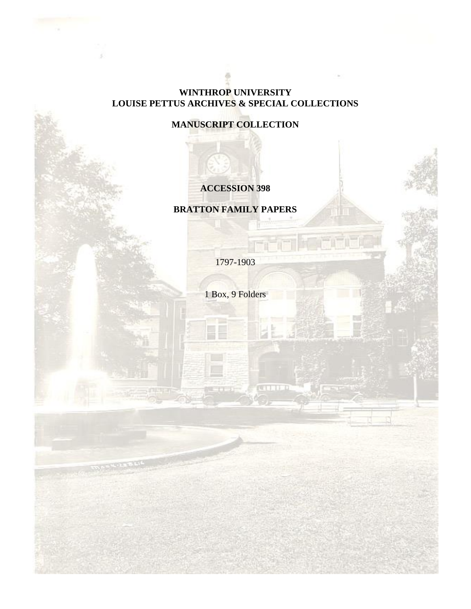### **WINTHROP UNIVERSITY LOUISE PETTUS ARCHIVES & SPECIAL COLLECTIONS**

**MANUSCRIPT COLLECTION**

# **ACCESSION 398**

**BRATTON FAMILY PAPERS**

1797-1903

1 Box, 9 Folders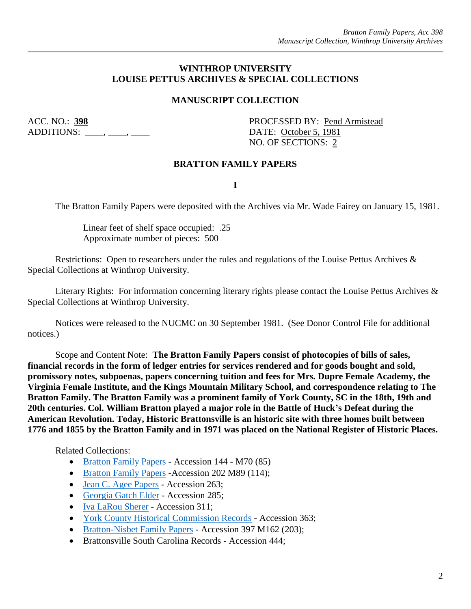#### **WINTHROP UNIVERSITY LOUISE PETTUS ARCHIVES & SPECIAL COLLECTIONS**

#### **MANUSCRIPT COLLECTION**

ADDITIONS:  $\qquad \qquad , \qquad$ 

ACC. NO.: 398 PROCESSED BY: Pend Armistead NO. OF SECTIONS: 2

#### **BRATTON FAMILY PAPERS**

#### **I**

The Bratton Family Papers were deposited with the Archives via Mr. Wade Fairey on January 15, 1981.

Linear feet of shelf space occupied: .25 Approximate number of pieces: 500

Restrictions: Open to researchers under the rules and regulations of the Louise Pettus Archives & Special Collections at Winthrop University.

Literary Rights: For information concerning literary rights please contact the Louise Pettus Archives & Special Collections at Winthrop University.

Notices were released to the NUCMC on 30 September 1981. (See Donor Control File for additional notices.)

Scope and Content Note: **The Bratton Family Papers consist of photocopies of bills of sales, financial records in the form of ledger entries for services rendered and for goods bought and sold, promissory notes, subpoenas, papers concerning tuition and fees for Mrs. Dupre Female Academy, the Virginia Female Institute, and the Kings Mountain Military School, and correspondence relating to The Bratton Family. The Bratton Family was a prominent family of York County, SC in the 18th, 19th and 20th centuries. Col. William Bratton played a major role in the Battle of Huck's Defeat during the American Revolution. Today, Historic Brattonsville is an historic site with three homes built between 1776 and 1855 by the Bratton Family and in 1971 was placed on the National Register of Historic Places.**

Related Collections:

- [Bratton Family Papers](https://digitalcommons.winthrop.edu/manuscriptcollection_findingaids/112/) Accession 144 M70 (85)
- [Bratton Family Papers](https://digitalcommons.winthrop.edu/manuscriptcollection_findingaids/168/) Accession 202 M89 (114);
- [Jean C. Agee Papers](https://digitalcommons.winthrop.edu/manuscriptcollection_findingaids/107/) Accession 263;
- [Georgia Gatch Elder](https://digitalcommons.winthrop.edu/manuscriptcollection_findingaids/330/) Accession 285;
- [Iva LaRou Sherer](https://digitalcommons.winthrop.edu/manuscriptcollection_findingaids/347/) Accession 311;
- [York County Historical Commission Records](https://digitalcommons.winthrop.edu/manuscriptcollection_findingaids/1308/) Accession 363;
- [Bratton-Nisbet Family Papers](https://digitalcommons.winthrop.edu/manuscriptcollection_findingaids/389/) Accession 397 M162 (203);
- Brattonsville South Carolina Records Accession 444;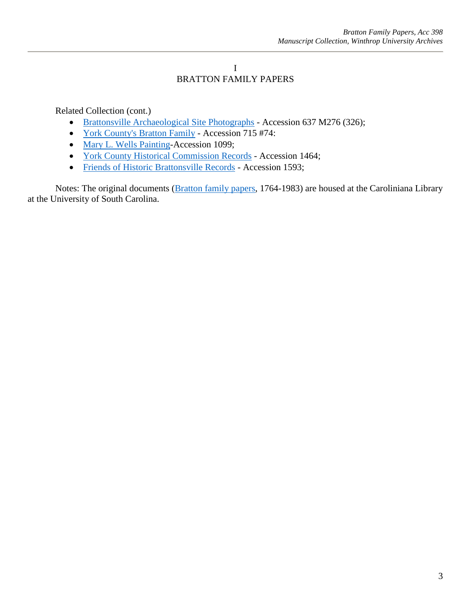#### I BRATTON FAMILY PAPERS

Related Collection (cont.)

- [Brattonsville Archaeological Site Photographs](https://digitalcommons.winthrop.edu/manuscriptcollection_findingaids/499/) Accession 637 M276 (326);
- [York County's Bratton Family](https://digitalcommons.winthrop.edu/manuscriptcollection_findingaids/1107/) Accession 715 #74:
- [Mary L. Wells Painting-](https://digitalcommons.winthrop.edu/manuscriptcollection_findingaids/726/)Accession 1099;
- [York County Historical Commission Records](https://digitalcommons.winthrop.edu/manuscriptcollection_findingaids/1309/) Accession 1464;
- [Friends of Historic Brattonsville Records](https://digitalcommons.winthrop.edu/manuscriptcollection_findingaids/894/) Accession 1593;

Notes: The original documents [\(Bratton family papers,](The%20original%20documents%20(Bratton%20family%20papers,%201764-1983)%20are%20housed%20at%20the%20Caroliniana%20Library%20at%20the%20University%20of%20South%20Carolina.) 1764-1983) are housed at the Caroliniana Library at the University of South Carolina.